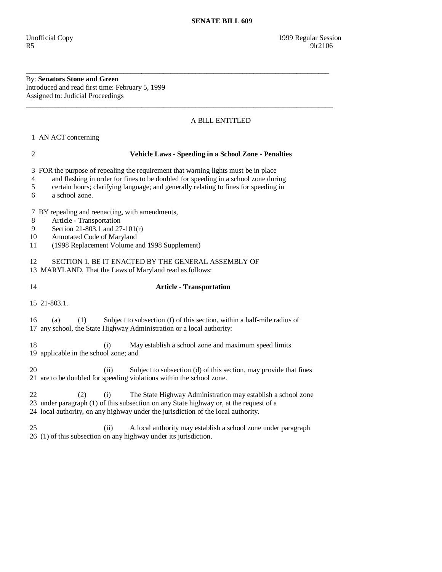By: **Senators Stone and Green**  Introduced and read first time: February 5, 1999 Assigned to: Judicial Proceedings

## A BILL ENTITLED

\_\_\_\_\_\_\_\_\_\_\_\_\_\_\_\_\_\_\_\_\_\_\_\_\_\_\_\_\_\_\_\_\_\_\_\_\_\_\_\_\_\_\_\_\_\_\_\_\_\_\_\_\_\_\_\_\_\_\_\_\_\_\_\_\_\_\_\_\_\_\_\_\_\_\_\_\_\_\_\_\_\_\_\_

\_\_\_\_\_\_\_\_\_\_\_\_\_\_\_\_\_\_\_\_\_\_\_\_\_\_\_\_\_\_\_\_\_\_\_\_\_\_\_\_\_\_\_\_\_\_\_\_\_\_\_\_\_\_\_\_\_\_\_\_\_\_\_\_\_\_\_\_\_\_\_\_\_\_\_\_\_\_\_\_\_\_\_\_\_

1 AN ACT concerning

 2 **Vehicle Laws - Speeding in a School Zone - Penalties**  3 FOR the purpose of repealing the requirement that warning lights must be in place 4 and flashing in order for fines to be doubled for speeding in a school zone during 5 certain hours; clarifying language; and generally relating to fines for speeding in 6 a school zone. 7 BY repealing and reenacting, with amendments, 8 Article - Transportation 9 Section 21-803.1 and 27-101(r) 10 Annotated Code of Maryland 11 (1998 Replacement Volume and 1998 Supplement) 12 SECTION 1. BE IT ENACTED BY THE GENERAL ASSEMBLY OF 13 MARYLAND, That the Laws of Maryland read as follows: 14 **Article - Transportation**  15 21-803.1. 16 (a) (1) Subject to subsection (f) of this section, within a half-mile radius of 17 any school, the State Highway Administration or a local authority: 18 (i) May establish a school zone and maximum speed limits 19 applicable in the school zone; and 20 (ii) Subject to subsection (d) of this section, may provide that fines 21 are to be doubled for speeding violations within the school zone. 22 (2) (i) The State Highway Administration may establish a school zone 23 under paragraph (1) of this subsection on any State highway or, at the request of a 24 local authority, on any highway under the jurisdiction of the local authority. 25 (ii) A local authority may establish a school zone under paragraph 26 (1) of this subsection on any highway under its jurisdiction.